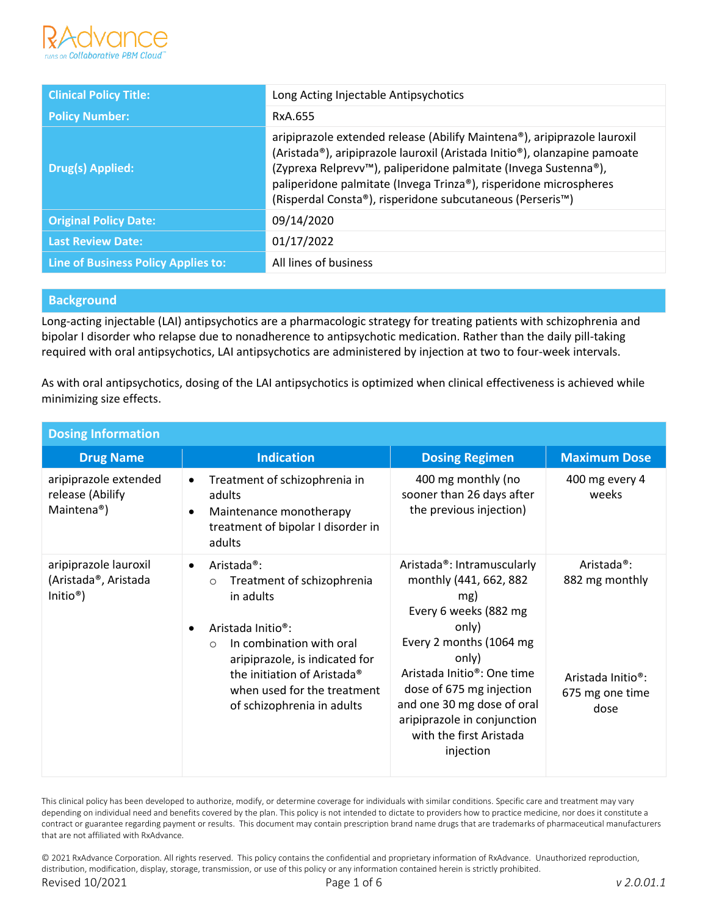

| <b>Clinical Policy Title:</b>              | Long Acting Injectable Antipsychotics                                                                                                                                                                                                                                                                                                                                   |
|--------------------------------------------|-------------------------------------------------------------------------------------------------------------------------------------------------------------------------------------------------------------------------------------------------------------------------------------------------------------------------------------------------------------------------|
| <b>Policy Number:</b>                      | RxA.655                                                                                                                                                                                                                                                                                                                                                                 |
| Drug(s) Applied:                           | aripiprazole extended release (Abilify Maintena®), aripiprazole lauroxil<br>(Aristada®), aripiprazole lauroxil (Aristada Initio®), olanzapine pamoate<br>(Zyprexa Relprevv <sup>™</sup> ), paliperidone palmitate (Invega Sustenna®),<br>paliperidone palmitate (Invega Trinza®), risperidone microspheres<br>(Risperdal Consta®), risperidone subcutaneous (Perseris™) |
| <b>Original Policy Date:</b>               | 09/14/2020                                                                                                                                                                                                                                                                                                                                                              |
| <b>Last Review Date:</b>                   | 01/17/2022                                                                                                                                                                                                                                                                                                                                                              |
| <b>Line of Business Policy Applies to:</b> | All lines of business                                                                                                                                                                                                                                                                                                                                                   |

## **Background**

Long-acting injectable (LAI) antipsychotics are a pharmacologic strategy for treating patients with schizophrenia and bipolar I disorder who relapse due to nonadherence to antipsychotic medication. Rather than the daily pill-taking required with oral antipsychotics, LAI antipsychotics are administered by injection at two to four-week intervals.

As with oral antipsychotics, dosing of the LAI antipsychotics is optimized when clinical effectiveness is achieved while minimizing size effects.

| <b>Dosing Information</b>                                            |                                                                                                                                                                                                                                                                                                   |                                                                                                                                                                                                                                                                                                               |                                                                                                        |  |
|----------------------------------------------------------------------|---------------------------------------------------------------------------------------------------------------------------------------------------------------------------------------------------------------------------------------------------------------------------------------------------|---------------------------------------------------------------------------------------------------------------------------------------------------------------------------------------------------------------------------------------------------------------------------------------------------------------|--------------------------------------------------------------------------------------------------------|--|
| <b>Drug Name</b>                                                     | <b>Indication</b>                                                                                                                                                                                                                                                                                 | <b>Dosing Regimen</b>                                                                                                                                                                                                                                                                                         | <b>Maximum Dose</b>                                                                                    |  |
| aripiprazole extended<br>release (Abilify<br>Maintena <sup>®</sup> ) | Treatment of schizophrenia in<br>$\bullet$<br>adults<br>Maintenance monotherapy<br>$\bullet$<br>treatment of bipolar I disorder in<br>adults                                                                                                                                                      | 400 mg monthly (no<br>sooner than 26 days after<br>the previous injection)                                                                                                                                                                                                                                    | 400 mg every 4<br>weeks                                                                                |  |
| aripiprazole lauroxil<br>(Aristada®, Aristada<br>Initio <sup>®</sup> | Aristada <sup>®</sup> :<br>$\bullet$<br>Treatment of schizophrenia<br>$\circ$<br>in adults<br>Aristada Initio <sup>®</sup> :<br>In combination with oral<br>$\circ$<br>aripiprazole, is indicated for<br>the initiation of Aristada®<br>when used for the treatment<br>of schizophrenia in adults | Aristada®: Intramuscularly<br>monthly (441, 662, 882<br>mg)<br>Every 6 weeks (882 mg<br>only)<br>Every 2 months (1064 mg<br>only)<br>Aristada Initio <sup>®</sup> : One time<br>dose of 675 mg injection<br>and one 30 mg dose of oral<br>aripiprazole in conjunction<br>with the first Aristada<br>injection | Aristada <sup>®</sup> :<br>882 mg monthly<br>Aristada Initio <sup>®</sup> :<br>675 mg one time<br>dose |  |

This clinical policy has been developed to authorize, modify, or determine coverage for individuals with similar conditions. Specific care and treatment may vary depending on individual need and benefits covered by the plan. This policy is not intended to dictate to providers how to practice medicine, nor does it constitute a contract or guarantee regarding payment or results. This document may contain prescription brand name drugs that are trademarks of pharmaceutical manufacturers that are not affiliated with RxAdvance.

© 2021 RxAdvance Corporation. All rights reserved. This policy contains the confidential and proprietary information of RxAdvance. Unauthorized reproduction, distribution, modification, display, storage, transmission, or use of this policy or any information contained herein is strictly prohibited. Revised 10/2021 Page 1 of 6 *v 2.0.01.1*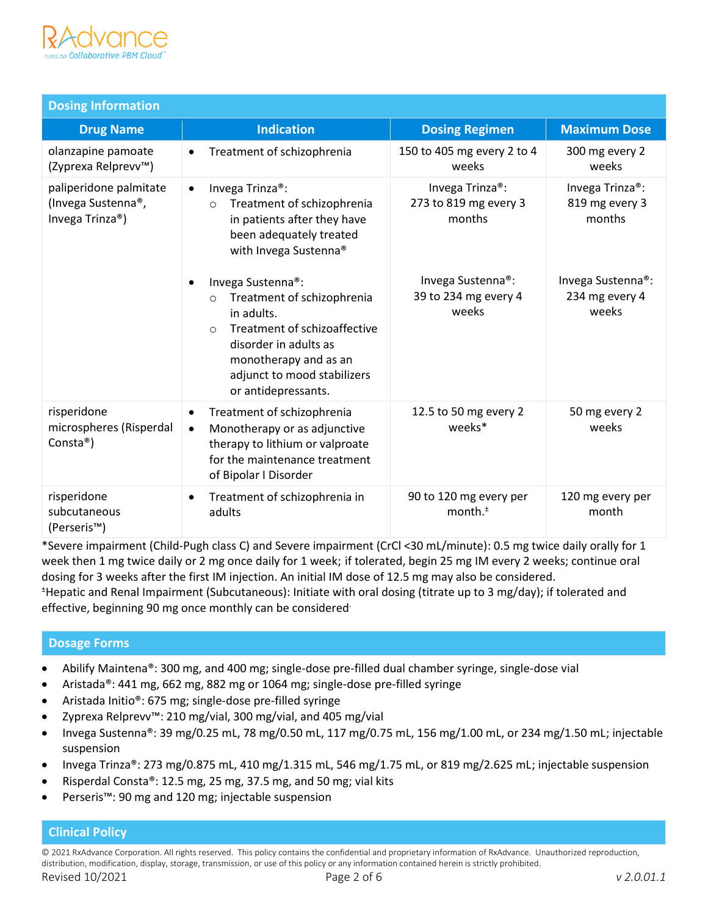

| <b>Dosing Information</b>                                       |                                                                                                                                                                                                                             |                                                                 |                                                          |
|-----------------------------------------------------------------|-----------------------------------------------------------------------------------------------------------------------------------------------------------------------------------------------------------------------------|-----------------------------------------------------------------|----------------------------------------------------------|
| <b>Drug Name</b>                                                | <b>Indication</b>                                                                                                                                                                                                           | <b>Dosing Regimen</b>                                           | <b>Maximum Dose</b>                                      |
| olanzapine pamoate<br>(Zyprexa Relprevv™)                       | Treatment of schizophrenia                                                                                                                                                                                                  | 150 to 405 mg every 2 to 4<br>weeks                             | 300 mg every 2<br>weeks                                  |
| paliperidone palmitate<br>(Invega Sustenna®,<br>Invega Trinza®) | Invega Trinza <sup>®</sup> :<br>$\bullet$<br>Treatment of schizophrenia<br>$\circ$<br>in patients after they have<br>been adequately treated<br>with Invega Sustenna®                                                       | Invega Trinza <sup>®</sup> :<br>273 to 819 mg every 3<br>months | Invega Trinza <sup>®</sup> :<br>819 mg every 3<br>months |
|                                                                 | Invega Sustenna®:<br>Treatment of schizophrenia<br>$\circ$<br>in adults.<br>Treatment of schizoaffective<br>$\circ$<br>disorder in adults as<br>monotherapy and as an<br>adjunct to mood stabilizers<br>or antidepressants. | Invega Sustenna®:<br>39 to 234 mg every 4<br>weeks              | Invega Sustenna®:<br>234 mg every 4<br>weeks             |
| risperidone<br>microspheres (Risperdal<br>Consta <sup>®</sup> ) | Treatment of schizophrenia<br>$\bullet$<br>Monotherapy or as adjunctive<br>$\bullet$<br>therapy to lithium or valproate<br>for the maintenance treatment<br>of Bipolar I Disorder                                           | 12.5 to 50 mg every 2<br>weeks*                                 | 50 mg every 2<br>weeks                                   |
| risperidone<br>subcutaneous<br>(Perseris™)                      | Treatment of schizophrenia in<br>$\bullet$<br>adults                                                                                                                                                                        | 90 to 120 mg every per<br>month. $±$                            | 120 mg every per<br>month                                |

\*Severe impairment (Child-Pugh class C) and Severe impairment (CrCl <30 mL/minute): 0.5 mg twice daily orally for 1 week then 1 mg twice daily or 2 mg once daily for 1 week; if tolerated, begin 25 mg IM every 2 weeks; continue oral dosing for 3 weeks after the first IM injection. An initial IM dose of 12.5 mg may also be considered. <sup>±</sup>Hepatic and Renal Impairment (Subcutaneous): Initiate with oral dosing (titrate up to 3 mg/day); if tolerated and effective, beginning 90 mg once monthly can be considered.

### **Dosage Forms**

- Abilify Maintena®: 300 mg, and 400 mg; single-dose pre-filled dual chamber syringe, single-dose vial
- Aristada®: 441 mg, 662 mg, 882 mg or 1064 mg; single-dose pre-filled syringe
- Aristada Initio®: 675 mg; single-dose pre-filled syringe
- Zyprexa Relprevv™: 210 mg/vial, 300 mg/vial, and 405 mg/vial
- Invega Sustenna®: 39 mg/0.25 mL, 78 mg/0.50 mL, 117 mg/0.75 mL, 156 mg/1.00 mL, or 234 mg/1.50 mL; injectable suspension
- Invega Trinza®: 273 mg/0.875 mL, 410 mg/1.315 mL, 546 mg/1.75 mL, or 819 mg/2.625 mL; injectable suspension
- Risperdal Consta®: 12.5 mg, 25 mg, 37.5 mg, and 50 mg; vial kits
- Perseris™: 90 mg and 120 mg; injectable suspension

# **Clinical Policy**

© 2021 RxAdvance Corporation. All rights reserved. This policy contains the confidential and proprietary information of RxAdvance. Unauthorized reproduction, distribution, modification, display, storage, transmission, or use of this policy or any information contained herein is strictly prohibited.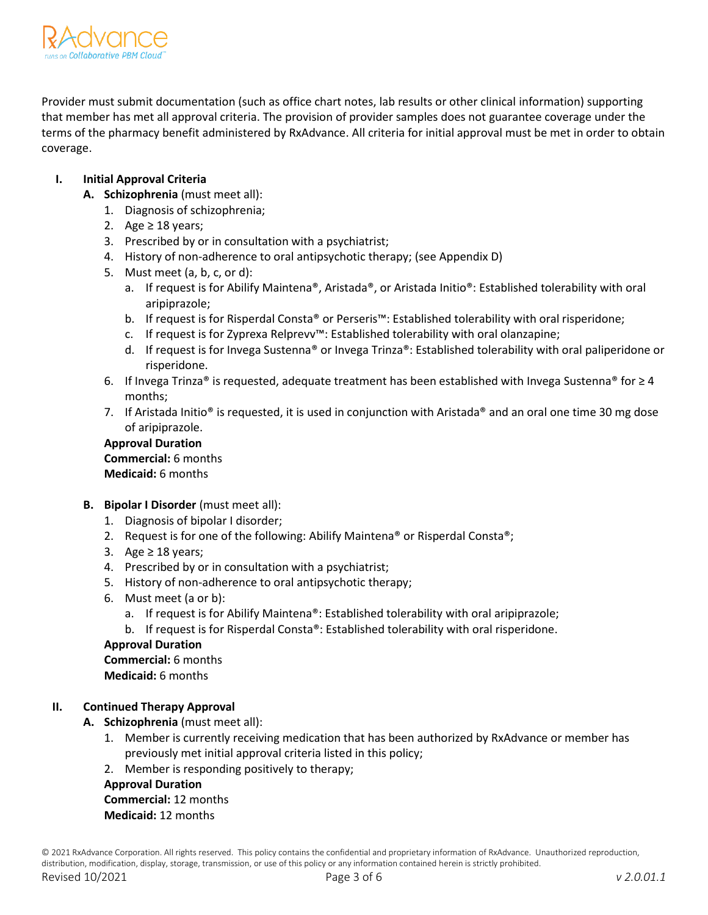

Provider must submit documentation (such as office chart notes, lab results or other clinical information) supporting that member has met all approval criteria. The provision of provider samples does not guarantee coverage under the terms of the pharmacy benefit administered by RxAdvance. All criteria for initial approval must be met in order to obtain coverage.

# **I. Initial Approval Criteria**

- **A. Schizophrenia** (must meet all):
	- 1. Diagnosis of schizophrenia;
	- 2. Age  $\geq$  18 years;
	- 3. Prescribed by or in consultation with a psychiatrist;
	- 4. History of non-adherence to oral antipsychotic therapy; (see Appendix D)
	- 5. Must meet (a, b, c, or d):
		- a. If request is for Abilify Maintena®, Aristada®, or Aristada Initio®: Established tolerability with oral aripiprazole;
		- b. If request is for Risperdal Consta® or Perseris™: Established tolerability with oral risperidone;
		- c. If request is for Zyprexa Relprevv™: Established tolerability with oral olanzapine;
		- d. If request is for Invega Sustenna® or Invega Trinza®: Established tolerability with oral paliperidone or risperidone.
	- 6. If Invega Trinza® is requested, adequate treatment has been established with Invega Sustenna® for  $\geq 4$ months;
	- 7. If Aristada Initio® is requested, it is used in conjunction with Aristada® and an oral one time 30 mg dose of aripiprazole.

# **Approval Duration**

**Commercial:** 6 months **Medicaid:** 6 months

- **B.** Bipolar I Disorder (must meet all):
	- 1. Diagnosis of bipolar I disorder;
	- 2. Request is for one of the following: Abilify Maintena<sup>®</sup> or Risperdal Consta<sup>®</sup>;
	- 3. Age  $\geq$  18 years;
	- 4. Prescribed by or in consultation with a psychiatrist;
	- 5. History of non-adherence to oral antipsychotic therapy;
	- 6. Must meet (a or b):
		- a. If request is for Abilify Maintena®: Established tolerability with oral aripiprazole;
		- b. If request is for Risperdal Consta®: Established tolerability with oral risperidone.

# **Approval Duration Commercial:** 6 months

# **Medicaid:** 6 months

# **II. Continued Therapy Approval**

- **A. Schizophrenia** (must meet all):
	- 1. Member is currently receiving medication that has been authorized by RxAdvance or member has previously met initial approval criteria listed in this policy;
	- 2. Member is responding positively to therapy;

#### **Approval Duration Commercial:** 12 months

# **Medicaid:** 12 months

© 2021 RxAdvance Corporation. All rights reserved. This policy contains the confidential and proprietary information of RxAdvance. Unauthorized reproduction, distribution, modification, display, storage, transmission, or use of this policy or any information contained herein is strictly prohibited. Revised 10/2021 Page 3 of 6 *v 2.0.01.1*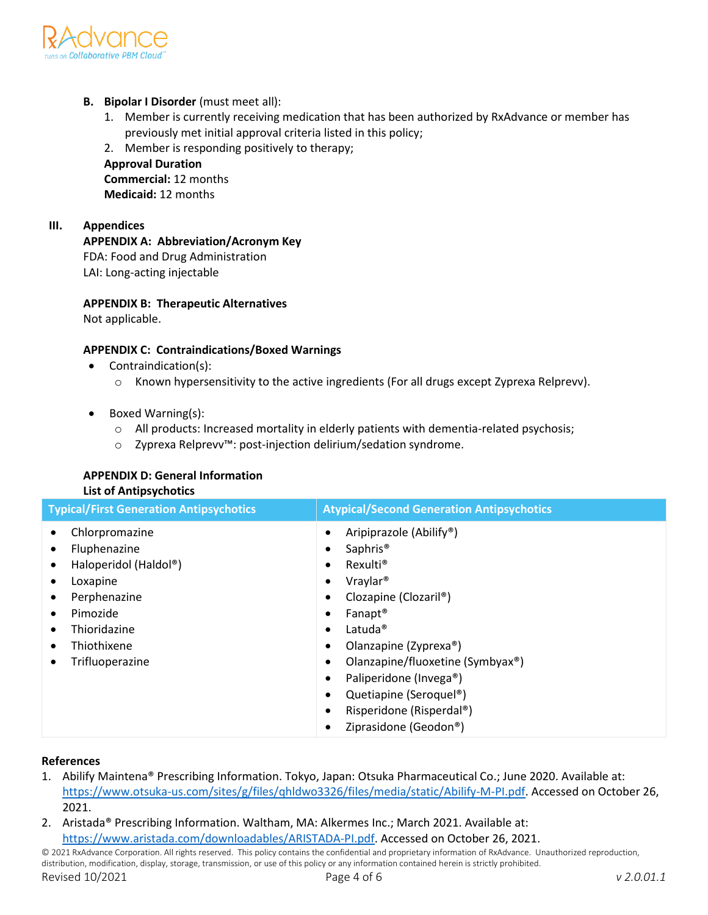

- **B. Bipolar I Disorder** (must meet all):
	- 1. Member is currently receiving medication that has been authorized by RxAdvance or member has previously met initial approval criteria listed in this policy;
	- 2. Member is responding positively to therapy;

**Approval Duration Commercial:** 12 months **Medicaid:** 12 months

**III. Appendices**

**APPENDIX A: Abbreviation/Acronym Key** FDA: Food and Drug Administration LAI: Long-acting injectable

**APPENDIX B: Therapeutic Alternatives**

Not applicable.

# **APPENDIX C: Contraindications/Boxed Warnings**

- Contraindication(s):
	- o Known hypersensitivity to the active ingredients (For all drugs except Zyprexa Relprevv).
- Boxed Warning(s):
	- o All products: Increased mortality in elderly patients with dementia-related psychosis;
	- o Zyprexa Relprevv™: post-injection delirium/sedation syndrome.

# **APPENDIX D: General Information**

# **List of Antipsychotics**

| <b>Typical/First Generation Antipsychotics</b>                                                                                                    | <b>Atypical/Second Generation Antipsychotics</b>                                                                                                                                                                                                                                                                                                                                                                          |  |
|---------------------------------------------------------------------------------------------------------------------------------------------------|---------------------------------------------------------------------------------------------------------------------------------------------------------------------------------------------------------------------------------------------------------------------------------------------------------------------------------------------------------------------------------------------------------------------------|--|
| Chlorpromazine<br>Fluphenazine<br>Haloperidol (Haldol®)<br>Loxapine<br>Perphenazine<br>Pimozide<br>Thioridazine<br>Thiothixene<br>Trifluoperazine | Aripiprazole (Abilify <sup>®</sup> )<br>Saphris <sup>®</sup><br>Rexulti <sup>®</sup><br>٠<br>Vraylar <sup>®</sup><br>Clozapine (Clozaril <sup>®</sup> )<br>Fanapt <sup>®</sup><br>Latuda <sup>®</sup><br>٠<br>Olanzapine (Zyprexa®)<br>Olanzapine/fluoxetine (Symbyax <sup>®</sup> )<br>٠<br>Paliperidone (Invega®)<br>٠<br>Quetiapine (Seroquel <sup>®</sup> )<br>٠<br>Risperidone (Risperdal®)<br>Ziprasidone (Geodon®) |  |

# **References**

- 1. Abilify Maintena® Prescribing Information. Tokyo, Japan: Otsuka Pharmaceutical Co.; June 2020. Available at: [https://www.otsuka-us.com/sites/g/files/qhldwo3326/files/media/static/Abilify-M-PI.pdf.](https://www.otsuka-us.com/sites/g/files/qhldwo3326/files/media/static/Abilify-M-PI.pdf) Accessed on October 26, 2021.
- 2. Aristada® Prescribing Information. Waltham, MA: Alkermes Inc.; March 2021. Available at: [https://www.aristada.com/downloadables/ARISTADA-PI.pdf.](https://www.aristada.com/downloadables/ARISTADA-PI.pdf) Accessed on October 26, 2021.

© 2021 RxAdvance Corporation. All rights reserved. This policy contains the confidential and proprietary information of RxAdvance. Unauthorized reproduction, distribution, modification, display, storage, transmission, or use of this policy or any information contained herein is strictly prohibited. Revised 10/2021 Page 4 of 6 *v 2.0.01.1*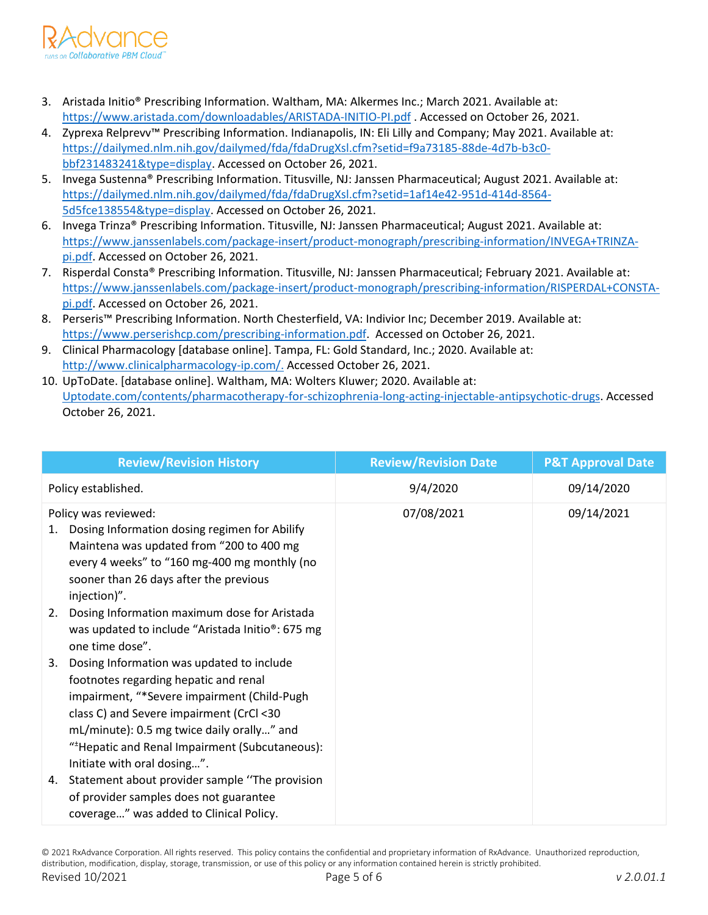

- 3. Aristada Initio® Prescribing Information. Waltham, MA: Alkermes Inc.; March 2021. Available at: <https://www.aristada.com/downloadables/ARISTADA-INITIO-PI.pdf> . Accessed on October 26, 2021.
- 4. Zyprexa Relprevv™ Prescribing Information. Indianapolis, IN: Eli Lilly and Company; May 2021. Available at: [https://dailymed.nlm.nih.gov/dailymed/fda/fdaDrugXsl.cfm?setid=f9a73185-88de-4d7b-b3c0](https://dailymed.nlm.nih.gov/dailymed/fda/fdaDrugXsl.cfm?setid=f9a73185-88de-4d7b-b3c0-bbf231483241&type=display) [bbf231483241&type=display.](https://dailymed.nlm.nih.gov/dailymed/fda/fdaDrugXsl.cfm?setid=f9a73185-88de-4d7b-b3c0-bbf231483241&type=display) Accessed on October 26, 2021.
- 5. Invega Sustenna® Prescribing Information. Titusville, NJ: Janssen Pharmaceutical; August 2021. Available at: [https://dailymed.nlm.nih.gov/dailymed/fda/fdaDrugXsl.cfm?setid=1af14e42-951d-414d-8564-](https://dailymed.nlm.nih.gov/dailymed/fda/fdaDrugXsl.cfm?setid=1af14e42-951d-414d-8564-5d5fce138554&type=display) [5d5fce138554&type=display.](https://dailymed.nlm.nih.gov/dailymed/fda/fdaDrugXsl.cfm?setid=1af14e42-951d-414d-8564-5d5fce138554&type=display) Accessed on October 26, 2021.
- 6. Invega Trinza® Prescribing Information. Titusville, NJ: Janssen Pharmaceutical; August 2021. Available at: [https://www.janssenlabels.com/package-insert/product-monograph/prescribing-information/INVEGA+TRINZA](https://www.janssenlabels.com/package-insert/product-monograph/prescribing-information/INVEGA+TRINZA-pi.pdf)[pi.pdf.](https://www.janssenlabels.com/package-insert/product-monograph/prescribing-information/INVEGA+TRINZA-pi.pdf) Accessed on October 26, 2021.
- 7. Risperdal Consta® Prescribing Information. Titusville, NJ: Janssen Pharmaceutical; February 2021. Available at: [https://www.janssenlabels.com/package-insert/product-monograph/prescribing-information/RISPERDAL+CONSTA](https://www.janssenlabels.com/package-insert/product-monograph/prescribing-information/RISPERDAL+CONSTA-pi.pdf)[pi.pdf.](https://www.janssenlabels.com/package-insert/product-monograph/prescribing-information/RISPERDAL+CONSTA-pi.pdf) Accessed on October 26, 2021.
- 8. Perseris™ Prescribing Information. North Chesterfield, VA: Indivior Inc; December 2019. Available at: [https://www.perserishcp.com/prescribing-information.pdf.](https://www.perserishcp.com/prescribing-information.pdf) Accessed on October 26, 2021.
- 9. Clinical Pharmacology [database online]. Tampa, FL: Gold Standard, Inc.; 2020. Available at: http://www.clinicalpharmacology-ip.com/. Accessed October 26, 2021.
- 10. UpToDate. [database online]. Waltham, MA: Wolters Kluwer; 2020. Available at: Uptodate.com/contents/pharmacotherapy-for-schizophrenia-long-acting-injectable-antipsychotic-drugs. Accessed October 26, 2021.

| <b>Review/Revision History</b>                                                                                                                                                                                                                                                                                     | <b>Review/Revision Date</b> | <b>P&amp;T Approval Date</b> |
|--------------------------------------------------------------------------------------------------------------------------------------------------------------------------------------------------------------------------------------------------------------------------------------------------------------------|-----------------------------|------------------------------|
| Policy established.                                                                                                                                                                                                                                                                                                | 9/4/2020                    | 09/14/2020                   |
| Policy was reviewed:<br>Dosing Information dosing regimen for Abilify<br>Maintena was updated from "200 to 400 mg<br>every 4 weeks" to "160 mg-400 mg monthly (no<br>sooner than 26 days after the previous<br>injection)".                                                                                        | 07/08/2021                  | 09/14/2021                   |
| Dosing Information maximum dose for Aristada<br>2.<br>was updated to include "Aristada Initio®: 675 mg<br>one time dose".                                                                                                                                                                                          |                             |                              |
| Dosing Information was updated to include<br>3.<br>footnotes regarding hepatic and renal<br>impairment, "*Severe impairment (Child-Pugh<br>class C) and Severe impairment (CrCl <30<br>mL/minute): 0.5 mg twice daily orally" and<br>"*Hepatic and Renal Impairment (Subcutaneous):<br>Initiate with oral dosing". |                             |                              |
| 4. Statement about provider sample "The provision"<br>of provider samples does not guarantee<br>coverage" was added to Clinical Policy.                                                                                                                                                                            |                             |                              |

© 2021 RxAdvance Corporation. All rights reserved. This policy contains the confidential and proprietary information of RxAdvance. Unauthorized reproduction, distribution, modification, display, storage, transmission, or use of this policy or any information contained herein is strictly prohibited. Revised 10/2021 Page 5 of 6 *v 2.0.01.1*